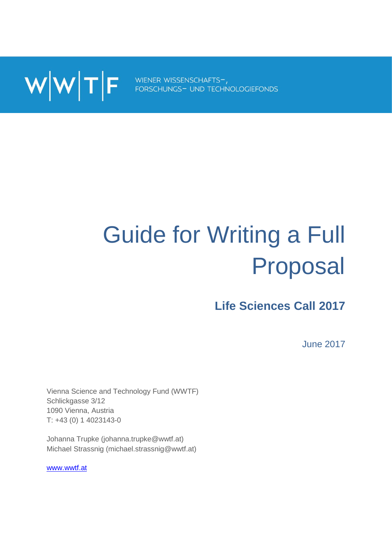WWTF FORSCHUNGS- UND TECHNOLOGIEFONDS

# Guide for Writing a Full Proposal

# **Life Sciences Call 2017**

June 2017

Vienna Science and Technology Fund (WWTF) Schlickgasse 3/12 1090 Vienna, Austria T: +43 (0) 1 4023143-0

Johanna Trupke (johanna.trupke@wwtf.at) Michael Strassnig (michael.strassnig@wwtf.at)

[www.wwtf.at](http://www.wwtf.at/)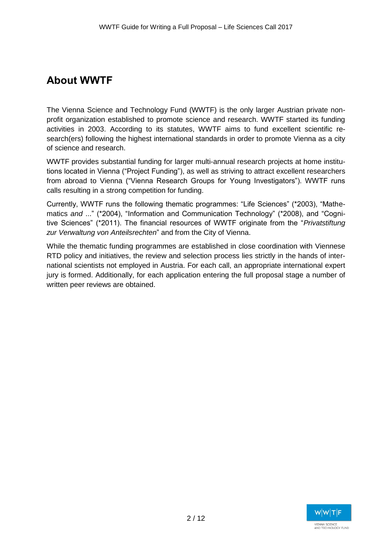## **About WWTF**

The Vienna Science and Technology Fund (WWTF) is the only larger Austrian private nonprofit organization established to promote science and research. WWTF started its funding activities in 2003. According to its statutes, WWTF aims to fund excellent scientific research(ers) following the highest international standards in order to promote Vienna as a city of science and research.

WWTF provides substantial funding for larger multi-annual research projects at home institutions located in Vienna ("Project Funding"), as well as striving to attract excellent researchers from abroad to Vienna ("Vienna Research Groups for Young Investigators"). WWTF runs calls resulting in a strong competition for funding.

Currently, WWTF runs the following thematic programmes: "Life Sciences" (\*2003), "Mathematics *and* ..." (\*2004), "Information and Communication Technology" (\*2008), and "Cognitive Sciences" (\*2011). The financial resources of WWTF originate from the "*Privatstiftung zur Verwaltung von Anteilsrechten*" and from the City of Vienna.

While the thematic funding programmes are established in close coordination with Viennese RTD policy and initiatives, the review and selection process lies strictly in the hands of international scientists not employed in Austria. For each call, an appropriate international expert jury is formed. Additionally, for each application entering the full proposal stage a number of written peer reviews are obtained.

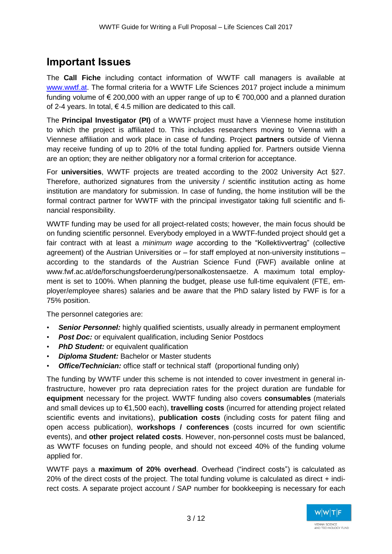## **Important Issues**

The **Call Fiche** including contact information of WWTF call managers is available at [www.wwtf.at.](http://www.wwtf.at/) The formal criteria for a WWTF Life Sciences 2017 project include a minimum funding volume of  $\epsilon$  200,000 with an upper range of up to  $\epsilon$  700,000 and a planned duration of 2-4 years. In total,  $\epsilon$  4.5 million are dedicated to this call.

The **Principal Investigator (PI)** of a WWTF project must have a Viennese home institution to which the project is affiliated to. This includes researchers moving to Vienna with a Viennese affiliation and work place in case of funding. Project **partners** outside of Vienna may receive funding of up to 20% of the total funding applied for. Partners outside Vienna are an option; they are neither obligatory nor a formal criterion for acceptance.

For **universities**, WWTF projects are treated according to the 2002 University Act §27. Therefore, authorized signatures from the university / scientific institution acting as home institution are mandatory for submission. In case of funding, the home institution will be the formal contract partner for WWTF with the principal investigator taking full scientific and financial responsibility.

WWTF funding may be used for all project-related costs; however, the main focus should be on funding scientific personnel. Everybody employed in a WWTF-funded project should get a fair contract with at least a *minimum wage* according to the "Kollektivvertrag" (collective agreement) of the Austrian Universities or – for staff employed at non-university institutions – according to the standards of the Austrian Science Fund (FWF) available online at www.fwf.ac.at/de/forschungsfoerderung/personalkostensaetze. A maximum total employment is set to 100%. When planning the budget, please use full-time equivalent (FTE, employer/employee shares) salaries and be aware that the PhD salary listed by FWF is for a 75% position.

The personnel categories are:

- **Senior Personnel:** highly qualified scientists, usually already in permanent employment
- *Post Doc:* or equivalent qualification, including Senior Postdocs
- **PhD Student:** or equivalent qualification
- *Diploma Student:* Bachelor or Master students
- *Office/Technician:* office staff or technical staff (proportional funding only)

The funding by WWTF under this scheme is not intended to cover investment in general infrastructure, however pro rata depreciation rates for the project duration are fundable for **equipment** necessary for the project. WWTF funding also covers **consumables** (materials and small devices up to €1,500 each), **travelling costs** (incurred for attending project related scientific events and invitations), **publication costs** (including costs for patent filing and open access publication), **workshops / conferences** (costs incurred for own scientific events), and **other project related costs**. However, non-personnel costs must be balanced, as WWTF focuses on funding people, and should not exceed 40% of the funding volume applied for.

WWTF pays a **maximum of 20% overhead**. Overhead ("indirect costs") is calculated as 20% of the direct costs of the project. The total funding volume is calculated as direct + indirect costs. A separate project account / SAP number for bookkeeping is necessary for each

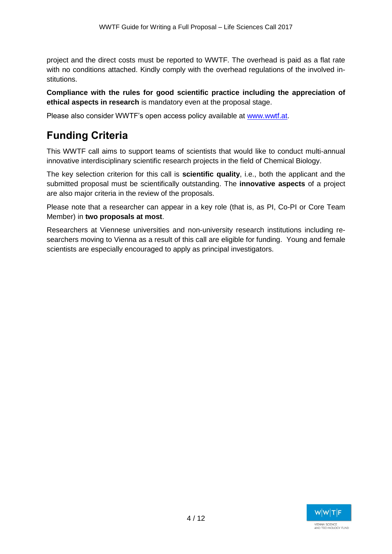project and the direct costs must be reported to WWTF. The overhead is paid as a flat rate with no conditions attached. Kindly comply with the overhead regulations of the involved institutions.

**Compliance with the rules for good scientific practice including the appreciation of ethical aspects in research** is mandatory even at the proposal stage.

Please also consider WWTF's open access policy available at [www.wwtf.at.](http://www.wwtf.at/)

## **Funding Criteria**

This WWTF call aims to support teams of scientists that would like to conduct multi-annual innovative interdisciplinary scientific research projects in the field of Chemical Biology.

The key selection criterion for this call is **scientific quality**, i.e., both the applicant and the submitted proposal must be scientifically outstanding. The **innovative aspects** of a project are also major criteria in the review of the proposals.

Please note that a researcher can appear in a key role (that is, as PI, Co-PI or Core Team Member) in **two proposals at most**.

Researchers at Viennese universities and non-university research institutions including researchers moving to Vienna as a result of this call are eligible for funding. Young and female scientists are especially encouraged to apply as principal investigators.

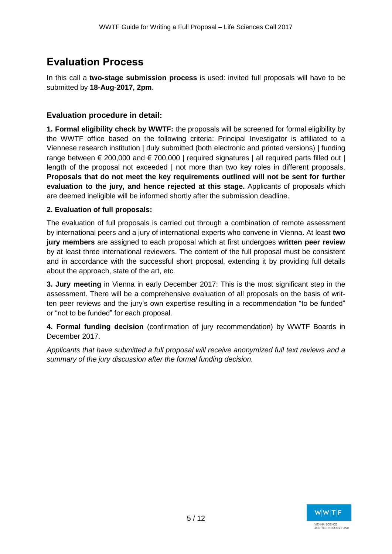## **Evaluation Process**

In this call a **two-stage submission process** is used: invited full proposals will have to be submitted by **18-Aug-2017, 2pm**.

#### **Evaluation procedure in detail:**

**1. Formal eligibility check by WWTF:** the proposals will be screened for formal eligibility by the WWTF office based on the following criteria: Principal Investigator is affiliated to a Viennese research institution | duly submitted (both electronic and printed versions) | funding range between  $\epsilon$  200,000 and  $\epsilon$  700,000 | required signatures | all required parts filled out | length of the proposal not exceeded | not more than two key roles in different proposals. **Proposals that do not meet the key requirements outlined will not be sent for further evaluation to the jury, and hence rejected at this stage.** Applicants of proposals which are deemed ineligible will be informed shortly after the submission deadline.

#### **2. Evaluation of full proposals:**

The evaluation of full proposals is carried out through a combination of remote assessment by international peers and a jury of international experts who convene in Vienna. At least **two jury members** are assigned to each proposal which at first undergoes **written peer review** by at least three international reviewers. The content of the full proposal must be consistent and in accordance with the successful short proposal, extending it by providing full details about the approach, state of the art, etc.

**3. Jury meeting** in Vienna in early December 2017: This is the most significant step in the assessment. There will be a comprehensive evaluation of all proposals on the basis of written peer reviews and the jury's own expertise resulting in a recommendation "to be funded" or "not to be funded" for each proposal.

**4. Formal funding decision** (confirmation of jury recommendation) by WWTF Boards in December 2017.

*Applicants that have submitted a full proposal will receive anonymized full text reviews and a summary of the jury discussion after the formal funding decision.*

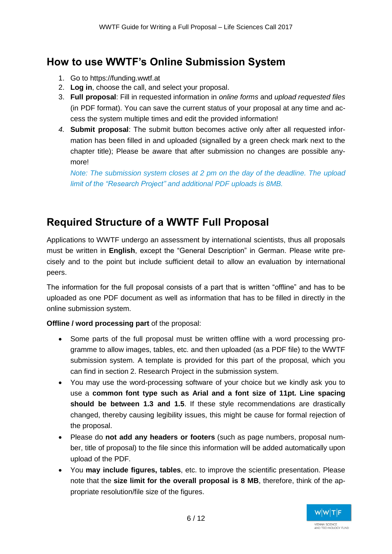## **How to use WWTF's Online Submission System**

- 1. Go to https://funding.wwtf.at
- 2. **Log in**, choose the call, and select your proposal.
- 3. **Full proposal**: Fill in requested information in *online forms* and *upload requested files* (in PDF format). You can save the current status of your proposal at any time and access the system multiple times and edit the provided information!
- *4.* **Submit proposal**: The submit button becomes active only after all requested information has been filled in and uploaded (signalled by a green check mark next to the chapter title); Please be aware that after submission no changes are possible anymore!

*Note: The submission system closes at 2 pm on the day of the deadline. The upload limit of the "Research Project" and additional PDF uploads is 8MB.*

## **Required Structure of a WWTF Full Proposal**

Applications to WWTF undergo an assessment by international scientists, thus all proposals must be written in **English**, except the "General Description" in German. Please write precisely and to the point but include sufficient detail to allow an evaluation by international peers.

The information for the full proposal consists of a part that is written "offline" and has to be uploaded as one PDF document as well as information that has to be filled in directly in the online submission system.

#### **Offline / word processing part** of the proposal:

- Some parts of the full proposal must be written offline with a word processing programme to allow images, tables, etc. and then uploaded (as a PDF file) to the WWTF submission system. A template is provided for this part of the proposal, which you can find in section 2. Research Project in the submission system.
- You may use the word-processing software of your choice but we kindly ask you to use a **common font type such as Arial and a font size of 11pt. Line spacing should be between 1.3 and 1.5**. If these style recommendations are drastically changed, thereby causing legibility issues, this might be cause for formal rejection of the proposal.
- Please do **not add any headers or footers** (such as page numbers, proposal number, title of proposal) to the file since this information will be added automatically upon upload of the PDF.
- You **may include figures, tables**, etc. to improve the scientific presentation. Please note that the **size limit for the overall proposal is 8 MB**, therefore, think of the appropriate resolution/file size of the figures.

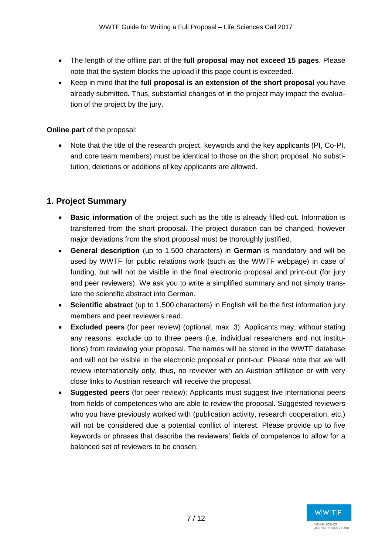- The length of the offline part of the **full proposal may not exceed 15 pages**. Please note that the system blocks the upload if this page count is exceeded.
- Keep in mind that the **full proposal is an extension of the short proposal** you have already submitted. Thus, substantial changes of in the project may impact the evaluation of the project by the jury.

**Online part** of the proposal:

 Note that the title of the research project, keywords and the key applicants (PI, Co-PI, and core team members) must be identical to those on the short proposal. No substitution, deletions or additions of key applicants are allowed.

#### **1. Project Summary**

- **Basic information** of the project such as the title is already filled-out. Information is transferred from the short proposal. The project duration can be changed, however major deviations from the short proposal must be thoroughly justified.
- **General description** (up to 1,500 characters) in **German** is mandatory and will be used by WWTF for public relations work (such as the WWTF webpage) in case of funding, but will not be visible in the final electronic proposal and print-out (for jury and peer reviewers). We ask you to write a simplified summary and not simply translate the scientific abstract into German.
- **Scientific abstract** (up to 1,500 characters) in English will be the first information jury members and peer reviewers read.
- **Excluded peers** (for peer review) (optional, max. 3): Applicants may, without stating any reasons, exclude up to three peers (i.e. individual researchers and not institutions) from reviewing your proposal. The names will be stored in the WWTF database and will not be visible in the electronic proposal or print-out. Please note that we will review internationally only, thus, no reviewer with an Austrian affiliation or with very close links to Austrian research will receive the proposal.
- **Suggested peers** (for peer review): Applicants must suggest five international peers from fields of competences who are able to review the proposal. Suggested reviewers who you have previously worked with (publication activity, research cooperation, etc.) will not be considered due a potential conflict of interest. Please provide up to five keywords or phrases that describe the reviewers' fields of competence to allow for a balanced set of reviewers to be chosen.

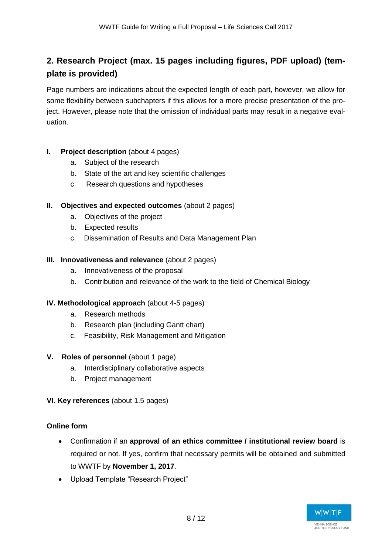### **2. Research Project (max. 15 pages including figures, PDF upload) (template is provided)**

Page numbers are indications about the expected length of each part, however, we allow for some flexibility between subchapters if this allows for a more precise presentation of the project. However, please note that the omission of individual parts may result in a negative evaluation.

#### **I. Project description** (about 4 pages)

- a. Subject of the research
- b. State of the art and key scientific challenges
- c. Research questions and hypotheses

#### **II. Objectives and expected outcomes** (about 2 pages)

- a. Objectives of the project
- b. Expected results
- c. Dissemination of Results and Data Management Plan

#### **III. Innovativeness and relevance** (about 2 pages)

- a. Innovativeness of the proposal
- b. Contribution and relevance of the work to the field of Chemical Biology

#### **IV. Methodological approach** (about 4-5 pages)

- a. Research methods
- b. Research plan (including Gantt chart)
- c. Feasibility, Risk Management and Mitigation

#### **V. Roles of personnel** (about 1 page)

- a. Interdisciplinary collaborative aspects
- b. Project management

#### **VI. Key references** (about 1.5 pages)

#### **Online form**

- Confirmation if an **approval of an ethics committee / institutional review board** is required or not. If yes, confirm that necessary permits will be obtained and submitted to WWTF by **November 1, 2017**.
- Upload Template "Research Project"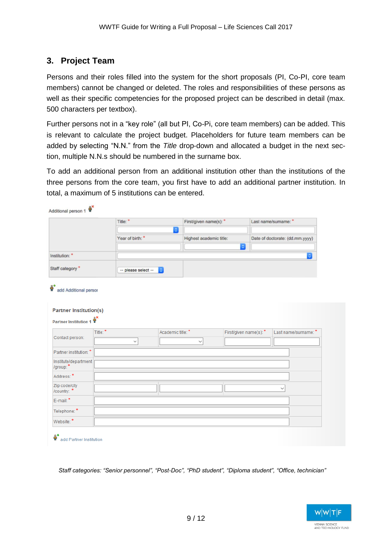#### **3. Project Team**

 $\circ$  X

Persons and their roles filled into the system for the short proposals (PI, Co-PI, core team members) cannot be changed or deleted. The roles and responsibilities of these persons as well as their specific competencies for the proposed project can be described in detail (max. 500 characters per textbox).

Further persons not in a "key role" (all but PI, Co-Pi, core team members) can be added. This is relevant to calculate the project budget. Placeholders for future team members can be added by selecting "N.N." from the *Title* drop-down and allocated a budget in the next section, multiple N.N.s should be numbered in the surname box.

To add an additional person from an additional institution other than the institutions of the three persons from the core team, you first have to add an additional partner institution. In total, a maximum of 5 institutions can be entered.

|                                                                  | Title: * |                     | $ \hat{z} $                  | First/given name(s): *                 | Last name/surname: *            |  |
|------------------------------------------------------------------|----------|---------------------|------------------------------|----------------------------------------|---------------------------------|--|
|                                                                  |          | Year of birth:*     |                              | Highest academic title:                | Date of doctorate: (dd.mm.yyyy) |  |
|                                                                  |          |                     |                              | $\ddot{\circ}$                         |                                 |  |
| Institution: *                                                   |          |                     |                              |                                        | $ \mathbf{c} $                  |  |
| Staff category*                                                  |          | -- please select -- | $ \boldsymbol{\varepsilon} $ |                                        |                                 |  |
| ĝ*<br>add Additional persor<br><b>Partner Institution(s)</b>     |          |                     |                              |                                        |                                 |  |
| Partner Institution 1 $\overset{\circ}{\mathbf{H}}^{\mathbf{X}}$ |          |                     |                              |                                        |                                 |  |
|                                                                  |          |                     |                              |                                        |                                 |  |
| Contact person:                                                  | Title: * | $\checkmark$        | Academic title: *            | First/given name(s): *<br>$\checkmark$ | Last name/surname: *            |  |
| Partner institution: *                                           |          |                     |                              |                                        |                                 |  |
| Institute/department                                             |          |                     |                              |                                        |                                 |  |
| Address: *                                                       |          |                     |                              |                                        |                                 |  |
| Zip code/city<br>/country: *                                     |          |                     |                              |                                        | $\checkmark$                    |  |
| E-mail:*                                                         |          |                     |                              |                                        |                                 |  |
| Telephone: *                                                     |          |                     |                              |                                        |                                 |  |

*Staff categories: "Senior personnel", "Post-Doc", "PhD student", "Diploma student", "Office, technician"* 

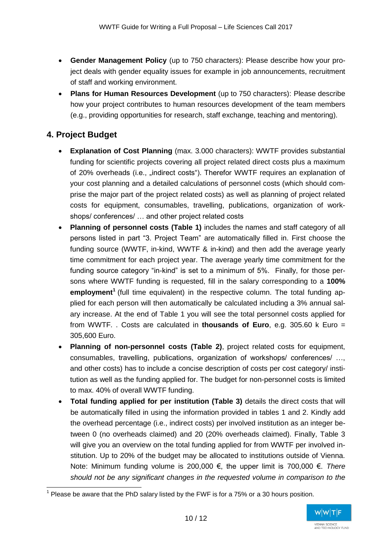- **Gender Management Policy** (up to 750 characters): Please describe how your project deals with gender equality issues for example in job announcements, recruitment of staff and working environment.
- **Plans for Human Resources Development** (up to 750 characters): Please describe how your project contributes to human resources development of the team members (e.g., providing opportunities for research, staff exchange, teaching and mentoring).

#### **4. Project Budget**

- **Explanation of Cost Planning** (max. 3.000 characters): WWTF provides substantial funding for scientific projects covering all project related direct costs plus a maximum of 20% overheads (i.e., "indirect costs"). Therefor WWTF requires an explanation of your cost planning and a detailed calculations of personnel costs (which should comprise the major part of the project related costs) as well as planning of project related costs for equipment, consumables, travelling, publications, organization of workshops/ conferences/ … and other project related costs
- **Planning of personnel costs (Table 1)** includes the names and staff category of all persons listed in part "3. Project Team" are automatically filled in. First choose the funding source (WWTF, in-kind, WWTF & in-kind) and then add the average yearly time commitment for each project year. The average yearly time commitment for the funding source category "in-kind" is set to a minimum of 5%. Finally, for those persons where WWTF funding is requested, fill in the salary corresponding to a **100% employment<sup>1</sup>** (full time equivalent) in the respective column. The total funding applied for each person will then automatically be calculated including a 3% annual salary increase. At the end of Table 1 you will see the total personnel costs applied for from WWTF. . Costs are calculated in **thousands of Euro**, e.g. 305.60 k Euro = 305,600 Euro.
- **Planning of non-personnel costs (Table 2)**, project related costs for equipment, consumables, travelling, publications, organization of workshops/ conferences/ …, and other costs) has to include a concise description of costs per cost category/ institution as well as the funding applied for. The budget for non-personnel costs is limited to max. 40% of overall WWTF funding.
- **Total funding applied for per institution (Table 3)** details the direct costs that will be automatically filled in using the information provided in tables 1 and 2. Kindly add the overhead percentage (i.e., indirect costs) per involved institution as an integer between 0 (no overheads claimed) and 20 (20% overheads claimed). Finally, Table 3 will give you an overview on the total funding applied for from WWTF per involved institution. Up to 20% of the budget may be allocated to institutions outside of Vienna. Note: Minimum funding volume is 200,000 €, the upper limit is 700,000 €. *There should not be any significant changes in the requested volume in comparison to the*

  $1$  Please be aware that the PhD salary listed by the FWF is for a 75% or a 30 hours position.

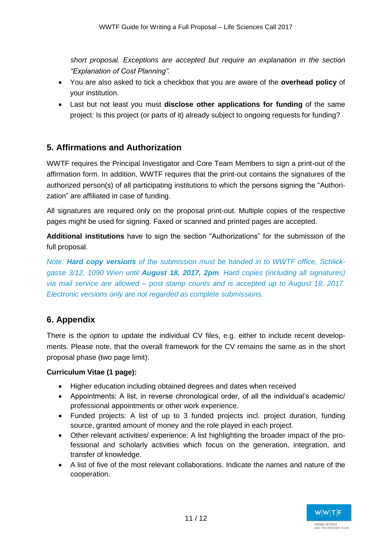*short proposal. Exceptions are accepted but require an explanation in the section "Explanation of Cost Planning".*

- You are also asked to tick a checkbox that you are aware of the **overhead policy** of your institution.
- Last but not least you must **disclose other applications for funding** of the same project: Is this project (or parts of it) already subject to ongoing requests for funding?

#### **5. Affirmations and Authorization**

WWTF requires the Principal Investigator and Core Team Members to sign a print-out of the affirmation form. In addition, WWTF requires that the print-out contains the signatures of the authorized person(s) of all participating institutions to which the persons signing the "Authorization" are affiliated in case of funding.

All signatures are required only on the proposal print-out. Multiple copies of the respective pages might be used for signing. Faxed or scanned and printed pages are accepted.

**Additional institutions** have to sign the section "Authorizations" for the submission of the full proposal.

*Note: Hard copy versions of the submission must be handed in to WWTF office, Schlickgasse 3/12, 1090 Wien until August 18, 2017, 2pm. Hard copies (including all signatures) via mail service are allowed – post stamp counts and is accepted up to August 18, 2017. Electronic versions only are not regarded as complete submissions.* 

#### **6. Appendix**

There is the *option* to update the individual CV files, e.g. either to include recent developments. Please note, that the overall framework for the CV remains the same as in the short proposal phase (two page limit):

#### **Curriculum Vitae (1 page):**

- Higher education including obtained degrees and dates when received
- Appointments: A list, in reverse chronological order, of all the individual's academic/ professional appointments or other work experience.
- Funded projects: A list of up to 3 funded projects incl. project duration, funding source, granted amount of money and the role played in each project.
- Other relevant activities/ experience: A list highlighting the broader impact of the professional and scholarly activities which focus on the generation, integration, and transfer of knowledge.
- A list of five of the most relevant collaborations. Indicate the names and nature of the cooperation.